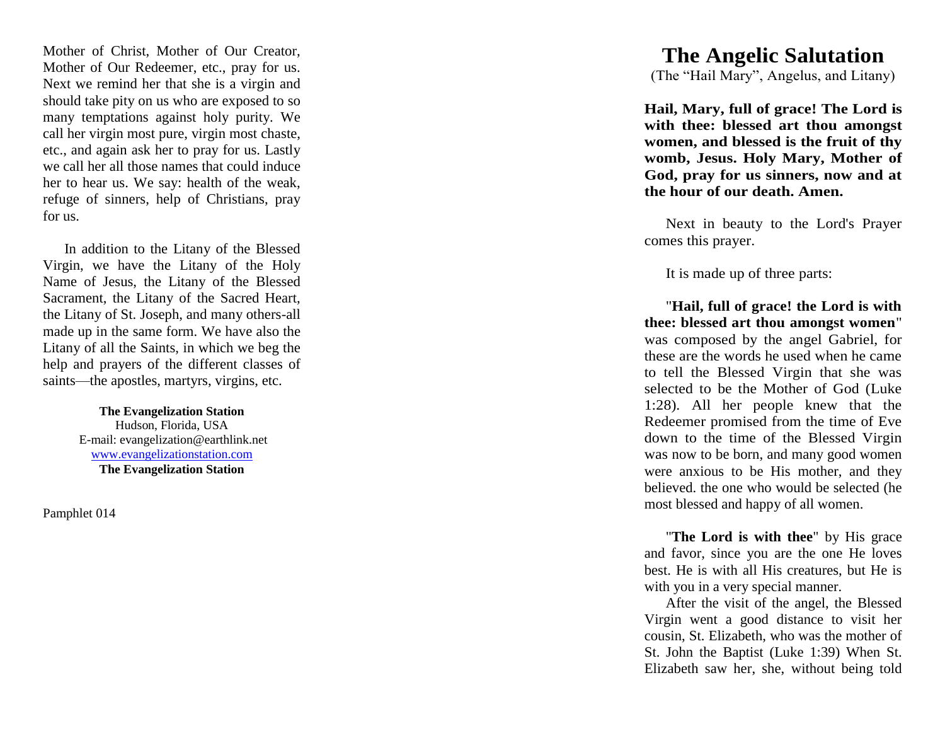Mother of Christ, Mother of Our Creator, Mother of Our Redeemer, etc., pray for us. Next we remind her that she is a virgin and should take pity on us who are exposed to so many temptations against holy purity. We call her virgin most pure, virgin most chaste, etc., and again ask her to pray for us. Lastly we call her all those names that could induce her to hear us. We say: health of the weak, refuge of sinners, help of Christians, pray for us.

In addition to the Litany of the Blessed Virgin, we have the Litany of the Holy Name of Jesus, the Litany of the Blessed Sacrament, the Litany of the Sacred Heart, the Litany of St. Joseph, and many others -all made up in the same form. We have also the Litany of all the Saints, in which we beg the help and prayers of the different classes of saints—the apostles, martyrs, virgins, etc.

> **The Evangelization Station** Hudson, Florida, USA E -mail: evangelization@earthlink.net [www.evangelizationstation.com](http://www.pjpiisoe.org/) **The Evangelization Station**

Pamphlet 0 1 <sup>4</sup>

## **The Angelic Salutation**

(The "Hail Mary", Angelus, and Litany)

**Hail, Mary, full of grace! The Lord is with thee: blesse d art thou amongst women, and blessed is the fruit of thy womb, Jesus. Holy Mary, Mother of God, pray for us sinners, now and at the hour of our death. Amen.** 

Next in beauty to the Lord's Prayer comes this prayer.

It is made up of three parts: "**Hail, full of grace! the Lord is with thee: blessed art thou amongst women**" was composed by the angel Gabriel, for these are the words he used when he came to tell the Blessed Virgin that she was selected to be the Mother of God (Luke 1:28). All her people knew that the Redeemer promised from the time of Eve down to the time of the Blessed Virgin was now to be born, and many good women were anxious to be His mother, and they believed. the one who would be selected (he most blessed and happy of all women.<br>"**The Lord is with thee**" by His grace"

and favor, since you are the one He loves best. He is with all His creatures, but He is with you in a very special manner.

After the visit of the angel, the Blessed Virgin went a good distance to visit her cousin, St. Elizabeth, who was the mother of St. John the Baptist (Luke 1:39) When St. Elizabeth saw her, she, without being told